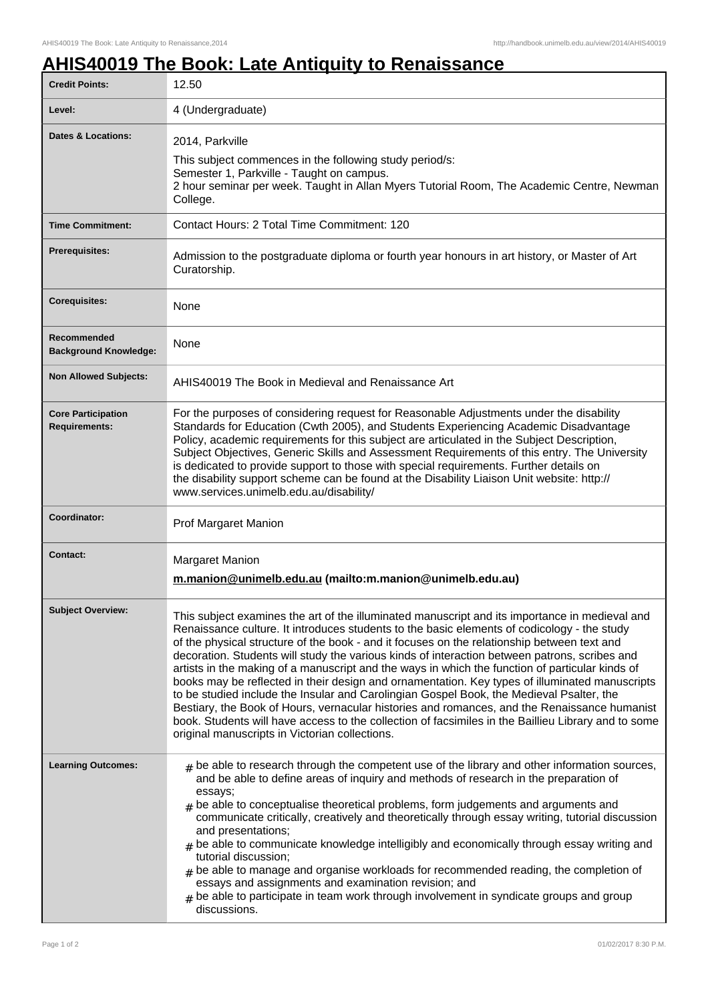## **AHIS40019 The Book: Late Antiquity to Renaissance**

| <b>Credit Points:</b>                             | 12.50                                                                                                                                                                                                                                                                                                                                                                                                                                                                                                                                                                                                                                                                                                                                                                                                                                                                                                                                                   |
|---------------------------------------------------|---------------------------------------------------------------------------------------------------------------------------------------------------------------------------------------------------------------------------------------------------------------------------------------------------------------------------------------------------------------------------------------------------------------------------------------------------------------------------------------------------------------------------------------------------------------------------------------------------------------------------------------------------------------------------------------------------------------------------------------------------------------------------------------------------------------------------------------------------------------------------------------------------------------------------------------------------------|
| Level:                                            | 4 (Undergraduate)                                                                                                                                                                                                                                                                                                                                                                                                                                                                                                                                                                                                                                                                                                                                                                                                                                                                                                                                       |
| <b>Dates &amp; Locations:</b>                     | 2014, Parkville<br>This subject commences in the following study period/s:<br>Semester 1, Parkville - Taught on campus.<br>2 hour seminar per week. Taught in Allan Myers Tutorial Room, The Academic Centre, Newman<br>College.                                                                                                                                                                                                                                                                                                                                                                                                                                                                                                                                                                                                                                                                                                                        |
| <b>Time Commitment:</b>                           | Contact Hours: 2 Total Time Commitment: 120                                                                                                                                                                                                                                                                                                                                                                                                                                                                                                                                                                                                                                                                                                                                                                                                                                                                                                             |
| <b>Prerequisites:</b>                             | Admission to the postgraduate diploma or fourth year honours in art history, or Master of Art<br>Curatorship.                                                                                                                                                                                                                                                                                                                                                                                                                                                                                                                                                                                                                                                                                                                                                                                                                                           |
| <b>Corequisites:</b>                              | None                                                                                                                                                                                                                                                                                                                                                                                                                                                                                                                                                                                                                                                                                                                                                                                                                                                                                                                                                    |
| Recommended<br><b>Background Knowledge:</b>       | None                                                                                                                                                                                                                                                                                                                                                                                                                                                                                                                                                                                                                                                                                                                                                                                                                                                                                                                                                    |
| <b>Non Allowed Subjects:</b>                      | AHIS40019 The Book in Medieval and Renaissance Art                                                                                                                                                                                                                                                                                                                                                                                                                                                                                                                                                                                                                                                                                                                                                                                                                                                                                                      |
| <b>Core Participation</b><br><b>Requirements:</b> | For the purposes of considering request for Reasonable Adjustments under the disability<br>Standards for Education (Cwth 2005), and Students Experiencing Academic Disadvantage<br>Policy, academic requirements for this subject are articulated in the Subject Description,<br>Subject Objectives, Generic Skills and Assessment Requirements of this entry. The University<br>is dedicated to provide support to those with special requirements. Further details on<br>the disability support scheme can be found at the Disability Liaison Unit website: http://<br>www.services.unimelb.edu.au/disability/                                                                                                                                                                                                                                                                                                                                        |
| Coordinator:                                      | Prof Margaret Manion                                                                                                                                                                                                                                                                                                                                                                                                                                                                                                                                                                                                                                                                                                                                                                                                                                                                                                                                    |
| <b>Contact:</b>                                   | Margaret Manion<br>m.manion@unimelb.edu.au (mailto:m.manion@unimelb.edu.au)                                                                                                                                                                                                                                                                                                                                                                                                                                                                                                                                                                                                                                                                                                                                                                                                                                                                             |
| <b>Subject Overview:</b>                          | This subject examines the art of the illuminated manuscript and its importance in medieval and<br>Renaissance culture. It introduces students to the basic elements of codicology - the study<br>of the physical structure of the book - and it focuses on the relationship between text and<br>decoration. Students will study the various kinds of interaction between patrons, scribes and<br>artists in the making of a manuscript and the ways in which the function of particular kinds of<br>books may be reflected in their design and ornamentation. Key types of illuminated manuscripts<br>to be studied include the Insular and Carolingian Gospel Book, the Medieval Psalter, the<br>Bestiary, the Book of Hours, vernacular histories and romances, and the Renaissance humanist<br>book. Students will have access to the collection of facsimiles in the Baillieu Library and to some<br>original manuscripts in Victorian collections. |
| <b>Learning Outcomes:</b>                         | $_{\text{\#}}$ be able to research through the competent use of the library and other information sources,<br>and be able to define areas of inquiry and methods of research in the preparation of<br>essays;<br>be able to conceptualise theoretical problems, form judgements and arguments and<br>communicate critically, creatively and theoretically through essay writing, tutorial discussion<br>and presentations;<br>$#$ be able to communicate knowledge intelligibly and economically through essay writing and<br>tutorial discussion;<br>$#$ be able to manage and organise workloads for recommended reading, the completion of<br>essays and assignments and examination revision; and<br>$#$ be able to participate in team work through involvement in syndicate groups and group<br>discussions.                                                                                                                                      |